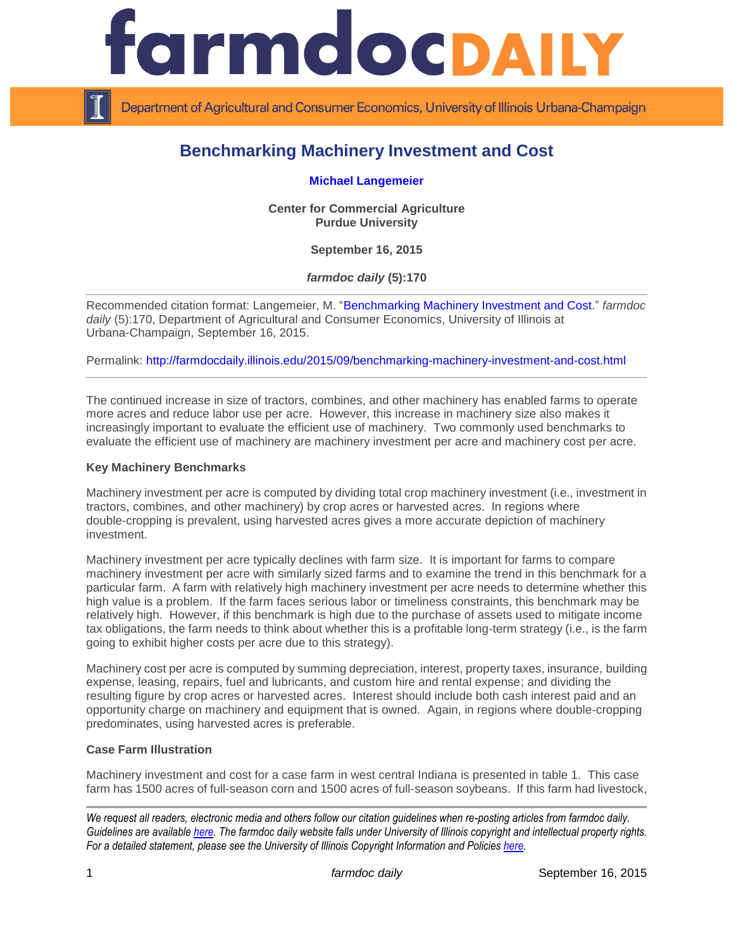

Department of Agricultural and Consumer Economics, University of Illinois Urbana-Champaign

# **Benchmarking Machinery Investment and Cost**

**[Michael Langemeier](https://ag.purdue.edu/commercialag/Pages/Faculty-Staff/Langemeier.aspx)**

**Center for Commercial Agriculture Purdue University**

**September 16, 2015**

*farmdoc daily* **(5):170**

Recommended citation format: Langemeier, M. ["Benchmarking Machinery Investment and Cost.](http://farmdocdaily.illinois.edu/2015/09/benchmarking-machinery-investment-and-cost.html)" *farmdoc daily* (5):170, Department of Agricultural and Consumer Economics, University of Illinois at Urbana-Champaign, September 16, 2015.

Permalink:<http://farmdocdaily.illinois.edu/2015/09/benchmarking-machinery-investment-and-cost.html>

The continued increase in size of tractors, combines, and other machinery has enabled farms to operate more acres and reduce labor use per acre. However, this increase in machinery size also makes it increasingly important to evaluate the efficient use of machinery. Two commonly used benchmarks to evaluate the efficient use of machinery are machinery investment per acre and machinery cost per acre.

#### **Key Machinery Benchmarks**

Machinery investment per acre is computed by dividing total crop machinery investment (i.e., investment in tractors, combines, and other machinery) by crop acres or harvested acres. In regions where double-cropping is prevalent, using harvested acres gives a more accurate depiction of machinery investment.

Machinery investment per acre typically declines with farm size. It is important for farms to compare machinery investment per acre with similarly sized farms and to examine the trend in this benchmark for a particular farm. A farm with relatively high machinery investment per acre needs to determine whether this high value is a problem. If the farm faces serious labor or timeliness constraints, this benchmark may be relatively high. However, if this benchmark is high due to the purchase of assets used to mitigate income tax obligations, the farm needs to think about whether this is a profitable long-term strategy (i.e., is the farm going to exhibit higher costs per acre due to this strategy).

Machinery cost per acre is computed by summing depreciation, interest, property taxes, insurance, building expense, leasing, repairs, fuel and lubricants, and custom hire and rental expense; and dividing the resulting figure by crop acres or harvested acres. Interest should include both cash interest paid and an opportunity charge on machinery and equipment that is owned. Again, in regions where double-cropping predominates, using harvested acres is preferable.

### **Case Farm Illustration**

Machinery investment and cost for a case farm in west central Indiana is presented in table 1. This case farm has 1500 acres of full-season corn and 1500 acres of full-season soybeans. If this farm had livestock,

*We request all readers, electronic media and others follow our citation guidelines when re-posting articles from farmdoc daily. Guidelines are available [here.](http://farmdocdaily.illinois.edu/citationguide.html) The farmdoc daily website falls under University of Illinois copyright and intellectual property rights. For a detailed statement, please see the University of Illinois Copyright Information and Policies [here.](http://www.cio.illinois.edu/policies/copyright/)*